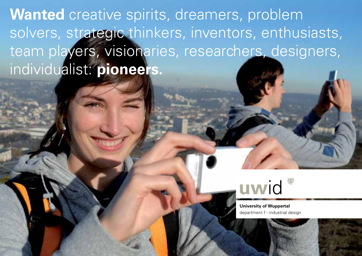**Wanted** creative spirits, dreamers, problem solvers, strategic thinkers, inventors, enthusiasts, team players, visionaries, researchers, designers, individualist: **pioneers.**



**University of Wuppertal** department f - industrial design

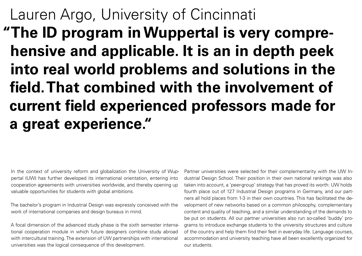# Lauren Argo, University of Cincinnati **"The ID program in Wuppertal is very comprehensive and applicable. It is an in depth peek into real world problems and solutions in the field. That combined with the involvement of current field experienced professors made for a great experience."**

In the context of university reform and globalization the University of Wuppertal (UW) has further developed its international orientation, entering into cooperation agreements with universities worldwide, and thereby opening up valuable opportunities for students with global ambitions.

The bachelor's program in Industrial Design was expressly conceived with the work of international companies and design bureaus in mind.

A focal dimension of the advanced study phase is the sixth semester international cooperation module in which future designers combine study abroad with intercultural training. The extension of UW partnerships with international universities was the logical consequence of this development.

Partner universities were selected for their complementarity with the UW Industrial Design School. Their position in their own national rankings was also taken into account, a 'peer-group' strategy that has proved its worth: UW holds fourth place out of 127 Industrial Design programs in Germany, and our partners all hold places from 1-3 in their own countries. This has facilitated the development of new networks based on a common philosophy, complementary content and quality of teaching, and a similar understanding of the demands to be put on students. All our partner universities also run so-called 'buddy' programs to introduce exchange students to the university structures and culture of the country and help them find their feet in everyday life. Language courses, accommodation and university teaching have all been excellently organized for our students.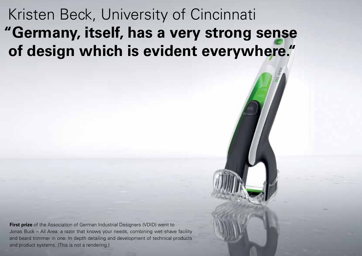## Kristen Beck, University of Cincinnati **"Germany, itself, has a very strong sense of design which is evident everywhere."**

**First prize** of the Association of German Industrial Designers (VDID) went to Jonas Buck – All Area: a razor that knows your needs, combining wet shave facility and beard trimmer in one. In depth detailing and development of technical products and product systems. (This is not a rendering.)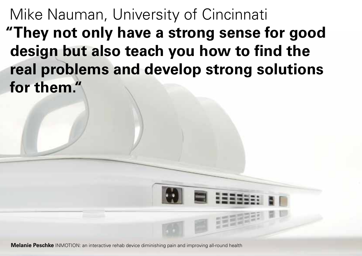Mike Nauman, University of Cincinnati **"They not only have a strong sense for good design but also teach you how to find the real problems and develop strong solutions for them."**

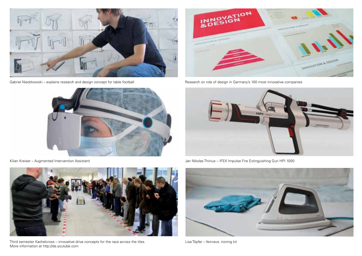

Gabriel Niedzkowski – explains research and design concept for table football





Third semester Kachelcross – innovative drive concepts for the race across the tiles. More information at http://de.youtube.com



Research on role of design in Germany's 100 most innovative companies



Kilian Kreiser – Augmented Intervention Assistant Jan Nikolas Thinius – IFEX Impulse Fire Extinguishing Gun HPI 1000



Lisa Töpfer – feinraus: ironing kit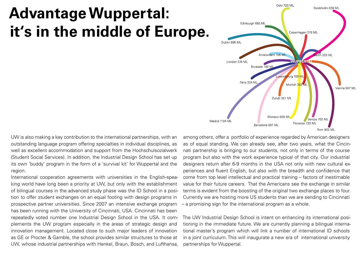## **Advantage Wuppertal: it's in the middle of Europe.**



UW is also making a key contribution to the international partnerships, with an outstanding language program offering specialties in individual disciplines, as well as excellent accommodation and support from the Hochschulsozialwerk (Student Social Services). In addition, the Industrial Design School has set up its own 'buddy' program in the form of a 'survival kit' for Wuppertal and the region.

International cooperation agreements with universities in the English-speaking world have long been a priority at UW, but only with the establishment of bilingual courses in the advanced study phase was the ID School in a position to offer student exchanges on an equal footing with design programs in prospective partner universities. Since 2007 an intensive exchange program has been running with the University of Cincinnati, USA. Cincinnati has been repeatedly voted number one Industrial Design School in the USA. It complements the UW program especially in the areas of strategic design and innovation management. Located close to such major leaders of innovation as GE or Procter & Gamble, the school provides similar structures to those at UW, whose industrial partnerships with Henkel, Braun, Bosch, and Lufthansa,

among others, offer a portfolio of experience regarded by American designers as of equal standing. We can already see, after two years, what the Cincinnati partnership is bringing to our students, not only in terms of the course program but also with the work experience typical of that city. Our industrial designers return after 6-9 months in the USA not only with new cultural experiences and fluent English, but also with the breadth and confidence that come from top level intellectual and practical training – factors of inestimable value for their future careers. That the Americans see the exchange in similar terms is evident from the boosting of the original two exchange places to four. Currently we are hosting more US students than we are sending to Cincinnati – a promising sign for the international program as a whole.

The UW Industrial Design School is intent on enhancing its international positioning in the immediate future. We are currently planning a bilingual international master's program which will link a number of international ID schools in a joint curriculum. This will inaugurate a new era of international university partnerships for Wuppertal.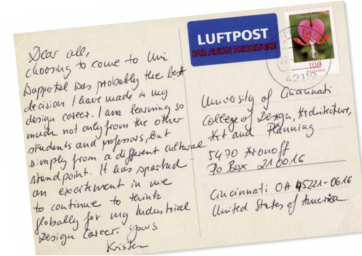**LUFTPOST AVION PRIORITAIRE** Dear all, choosing to come to live Duppertal was probably the best  $42115$ University of another's decision l'have made in my students and professors, but college of Dengr, Hidritative, standpoint. It has sported Cincinnati OH 45221-0616 an excitenant in me United States of truerica to continue to termin. flobally for my hidestrice Design tosect. yours Kristen